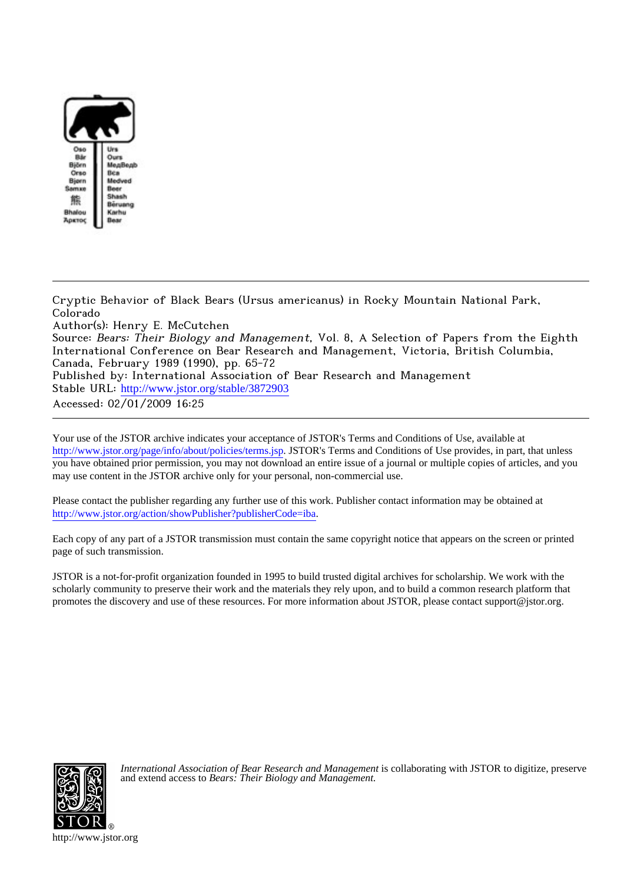

Cryptic Behavior of Black Bears (Ursus americanus) in Rocky Mountain National Park, Colorado Author(s): Henry E. McCutchen

Source: Bears: Their Biology and Management, Vol. 8, A Selection of Papers from the Eighth International Conference on Bear Research and Management, Victoria, British Columbia, Canada, February 1989 (1990), pp. 65-72 Published by: International Association of Bear Research and Management

Stable URL: [http://www.jstor.org/stable/3872903](http://www.jstor.org/stable/3872903?origin=JSTOR-pdf)

Accessed: 02/01/2009 16:25

Your use of the JSTOR archive indicates your acceptance of JSTOR's Terms and Conditions of Use, available at <http://www.jstor.org/page/info/about/policies/terms.jsp>. JSTOR's Terms and Conditions of Use provides, in part, that unless you have obtained prior permission, you may not download an entire issue of a journal or multiple copies of articles, and you may use content in the JSTOR archive only for your personal, non-commercial use.

Please contact the publisher regarding any further use of this work. Publisher contact information may be obtained at <http://www.jstor.org/action/showPublisher?publisherCode=iba>.

Each copy of any part of a JSTOR transmission must contain the same copyright notice that appears on the screen or printed page of such transmission.

JSTOR is a not-for-profit organization founded in 1995 to build trusted digital archives for scholarship. We work with the scholarly community to preserve their work and the materials they rely upon, and to build a common research platform that promotes the discovery and use of these resources. For more information about JSTOR, please contact support@jstor.org.



*International Association of Bear Research and Management* is collaborating with JSTOR to digitize, preserve and extend access to *Bears: Their Biology and Management.*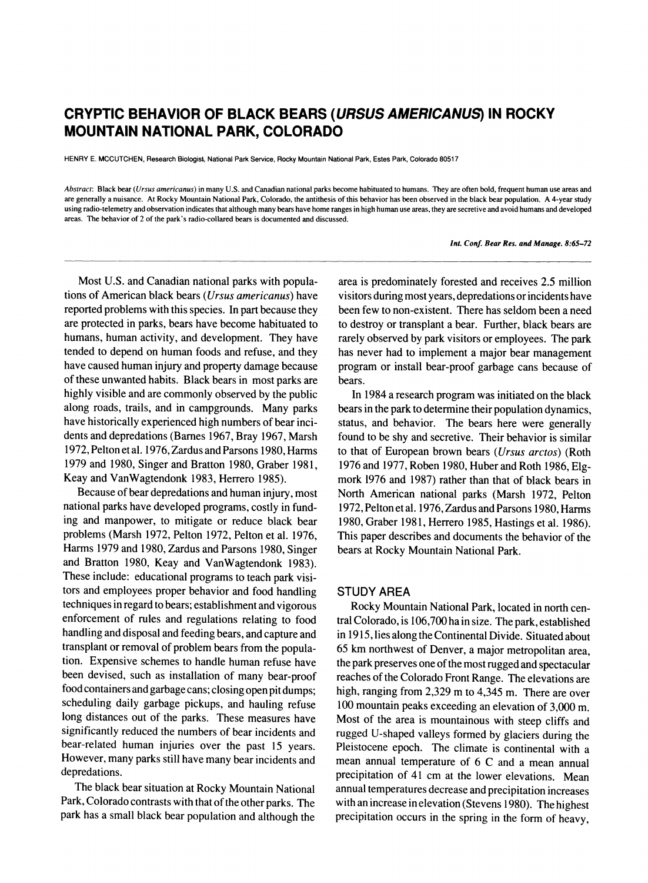# **CRYPTIC BEHAVIOR OF BLACK BEARS (URSUS AMERICANUS) IN ROCKY MOUNTAIN NATIONAL PARK, COLORADO**

**HENRY E. MCCUTCHEN, Research Biologist, National Park Service, Rocky Mountain National Park, Estes Park, Colorado 80517** 

**Abstract: Black bear (Ursus americanus) in many U.S. and Canadian national parks become habituated to humans. They are often bold, frequent human use areas and are generally a nuisance. At Rocky Mountain National Park, Colorado, the antithesis of this behavior has been observed in the black bear population. A 4-year study using radio-telemetry and observation indicates that although many bears have home ranges in high human use areas, they are secretive and avoid humans and developed areas. The behavior of 2 of the park's radio-collared bears is documented and discussed.** 

**Int. Conf. Bear Res. and Manage. 8:65-72** 

**Most U.S. and Canadian national parks with populations of American black bears (Ursus americanus) have reported problems with this species. In part because they are protected in parks, bears have become habituated to humans, human activity, and development. They have tended to depend on human foods and refuse, and they have caused human injury and property damage because of these unwanted habits. Black bears in most parks are highly visible and are commonly observed by the public along roads, trails, and in campgrounds. Many parks have historically experienced high numbers of bear incidents and depredations (Barnes 1967, Bray 1967, Marsh 1972, Pelton et al. 1976, Zardus and Parsons 1980, Harms 1979 and 1980, Singer and Bratton 1980, Graber 1981, Keay and VanWagtendonk 1983, Herrero 1985).** 

**Because of bear depredations and human injury, most national parks have developed programs, costly in funding and manpower, to mitigate or reduce black bear problems (Marsh 1972, Pelton 1972, Pelton et al. 1976, Harms 1979 and 1980, Zardus and Parsons 1980, Singer and Bratton 1980, Keay and VanWagtendonk 1983). These include: educational programs to teach park visitors and employees proper behavior and food handling techniques in regard to bears; establishment and vigorous enforcement of rules and regulations relating to food handling and disposal and feeding bears, and capture and transplant or removal of problem bears from the population. Expensive schemes to handle human refuse have been devised, such as installation of many bear-proof food containers and garbage cans; closing open pit dumps; scheduling daily garbage pickups, and hauling refuse long distances out of the parks. These measures have significantly reduced the numbers of bear incidents and bear-related human injuries over the past 15 years. However, many parks still have many bear incidents and depredations.** 

**The black bear situation at Rocky Mountain National Park, Colorado contrasts with that of the other parks. The park has a small black bear population and although the** 

**area is predominately forested and receives 2.5 million visitors during most years, depredations or incidents have been few to non-existent. There has seldom been a need to destroy or transplant a bear. Further, black bears are rarely observed by park visitors or employees. The park has never had to implement a major bear management program or install bear-proof garbage cans because of bears.** 

**In 1984 a research program was initiated on the black bears in the park to determine their population dynamics, status, and behavior. The bears here were generally found to be shy and secretive. Their behavior is similar to that of European brown bears (Ursus arctos) (Roth 1976 and 1977, Roben 1980, Huber and Roth 1986, Elgmork 1976 and 1987) rather than that of black bears in North American national parks (Marsh 1972, Pelton 1972, Pelton et al. 1976, Zardus and Parsons 1980, Harms 1980, Graber 1981, Herrero 1985, Hastings et al. 1986). This paper describes and documents the behavior of the bears at Rocky Mountain National Park.** 

## **STUDY AREA**

**Rocky Mountain National Park, located in north central Colorado, is 106,700 ha in size. The park, established in 1915, lies along the Continental Divide. Situated about 65 km northwest of Denver, a major metropolitan area, the park preserves one of the most rugged and spectacular reaches of the Colorado Front Range. The elevations are high, ranging from 2,329 m to 4,345 m. There are over 100 mountain peaks exceeding an elevation of 3,000 m. Most of the area is mountainous with steep cliffs and rugged U-shaped valleys formed by glaciers during the Pleistocene epoch. The climate is continental with a mean annual temperature of 6 C and a mean annual precipitation of 41 cm at the lower elevations. Mean annual temperatures decrease and precipitation increases with an increase in elevation (Stevens 1980). The highest precipitation occurs in the spring in the form of heavy,**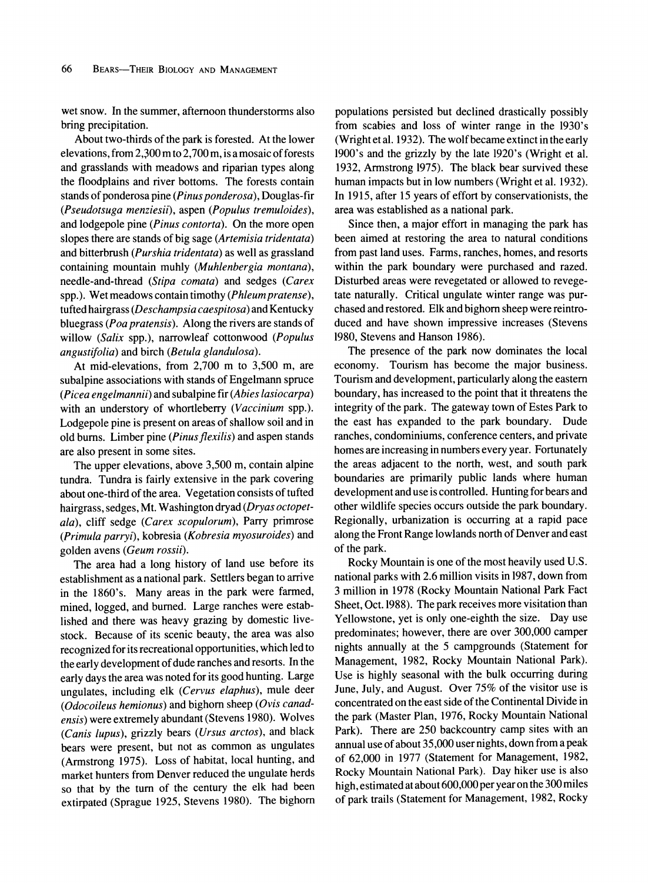**wet snow. In the summer, afternoon thunderstorms also bring precipitation.** 

**About two-thirds of the park is forested. At the lower elevations, from 2,300 m to 2,700 m, is a mosaic of forests and grasslands with meadows and riparian types along the floodplains and river bottoms. The forests contain**  stands of ponderosa pine (*Pinus ponderosa*), Douglas-fir **(Pseudotsuga menziesii), aspen (Populus tremuloides), and lodgepole pine (Pinus contorta). On the more open slopes there are stands of big sage (Artemisia tridentata) and bitterbrush (Purshia tridentata) as well as grassland containing mountain muhly (Muhlenbergia montana), needle-and-thread (Stipa comata) and sedges (Carex spp.). Wet meadows contain timothy (Phleumpratense), tufted hairgrass (Deschampsia caespitosa) and Kentucky bluegrass (Poa pratensis). Along the rivers are stands of willow (Salix spp.), narrowleaf cottonwood (Populus angustifolia) and birch (Betula glandulosa).** 

**At mid-elevations, from 2,700 m to 3,500 m, are subalpine associations with stands of Engelmann spruce (Picea engelmannii) and subalpine fir (Abies lasiocarpa)**  with an understory of whortleberry (Vaccinium spp.). **Lodgepole pine is present on areas of shallow soil and in old burs. Limber pine (Pinusflexilis) and aspen stands are also present in some sites.** 

**The upper elevations, above 3,500 m, contain alpine tundra. Tundra is fairly extensive in the park covering about one-third of the area. Vegetation consists of tufted hairgrass, sedges, Mt. Washington dryad (Dryas octopetala), cliff sedge (Carex scopulorum), Parry primrose (Primula parryi), kobresia (Kobresia myosuroides) and golden avens (Geum rossii).** 

**The area had a long history of land use before its establishment as a national park. Settlers began to arrive in the 1860's. Many areas in the park were farmed, mined, logged, and burned. Large ranches were established and there was heavy grazing by domestic livestock. Because of its scenic beauty, the area was also recognized for its recreational opportunities, which led to the early development of dude ranches and resorts. In the early days the area was noted for its good hunting. Large ungulates, including elk (Cervus elaphus), mule deer (Odocoileus hemionus) and bighorn sheep (Ovis canadensis) were extremely abundant (Stevens 1980). Wolves (Canis lupus), grizzly bears (Ursus arctos), and black bears were present, but not as common as ungulates (Armstrong 1975). Loss of habitat, local hunting, and market hunters from Denver reduced the ungulate herds so that by the turn of the century the elk had been extirpated (Sprague 1925, Stevens 1980). The bighorn**  **populations persisted but declined drastically possibly from scabies and loss of winter range in the 1930's (Wright et al. 1932). The wolf became extinct in the early 1900's and the grizzly by the late 1920's (Wright et al. 1932, Armstrong 1975). The black bear survived these human impacts but in low numbers (Wright et al. 1932). In 1915, after 15 years of effort by conservationists, the area was established as a national park.** 

**Since then, a major effort in managing the park has been aimed at restoring the area to natural conditions from past land uses. Farms, ranches, homes, and resorts within the park boundary were purchased and razed. Disturbed areas were revegetated or allowed to revegetate naturally. Critical ungulate winter range was purchased and restored. Elk and bighorn sheep were reintroduced and have shown impressive increases (Stevens 1980, Stevens and Hanson 1986).** 

**The presence of the park now dominates the local economy. Tourism has become the major business. Tourism and development, particularly along the eastern boundary, has increased to the point that it threatens the integrity of the park. The gateway town of Estes Park to the east has expanded to the park boundary. Dude ranches, condominiums, conference centers, and private homes are increasing in numbers every year. Fortunately the areas adjacent to the north, west, and south park boundaries are primarily public lands where human development and use is controlled. Hunting for bears and other wildlife species occurs outside the park boundary. Regionally, urbanization is occurring at a rapid pace along the Front Range lowlands north of Denver and east of the park.** 

**Rocky Mountain is one of the most heavily used U.S. national parks with 2.6 million visits in 1987, down from 3 million in 1978 (Rocky Mountain National Park Fact Sheet, Oct. 1988). The park receives more visitation than Yellowstone, yet is only one-eighth the size. Day use predominates; however, there are over 300,000 camper nights annually at the 5 campgrounds (Statement for Management, 1982, Rocky Mountain National Park). Use is highly seasonal with the bulk occurring during June, July, and August. Over 75% of the visitor use is concentrated on the east side of the Continental Divide in the park (Master Plan, 1976, Rocky Mountain National Park). There are 250 backcountry camp sites with an annual use of about 35,000 user nights, down from a peak of 62,000 in 1977 (Statement for Management, 1982, Rocky Mountain National Park). Day hiker use is also high, estimated at about 600,000 per year on the 300 miles of park trails (Statement for Management, 1982, Rocky**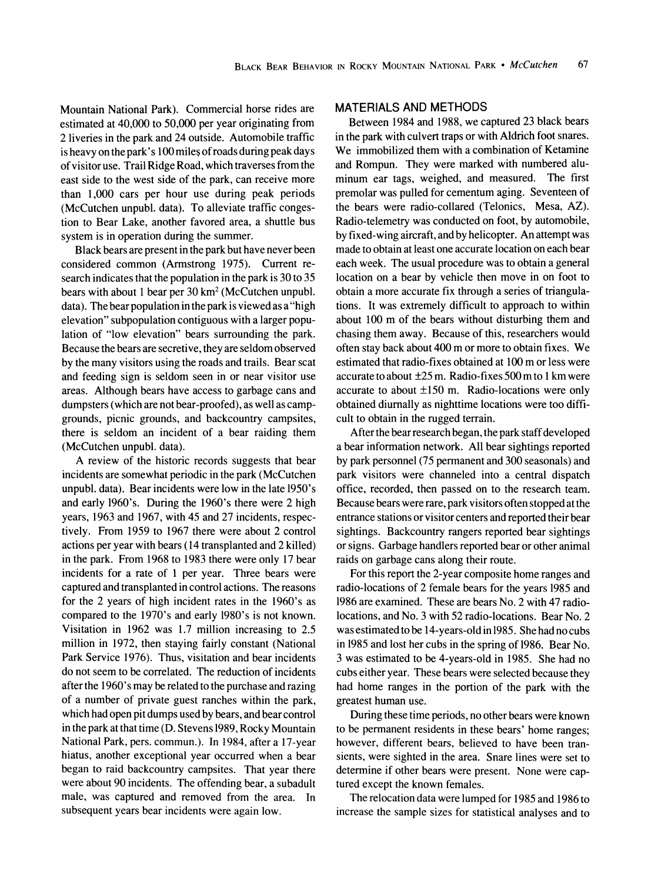**Mountain National Park). Commercial horse rides are estimated at 40,000 to 50,000 per year originating from 2 liveries in the park and 24 outside. Automobile traffic**  is heavy on the park's 100 miles of roads during peak days **of visitor use. Trail Ridge Road, which traverses from the east side to the west side of the park, can receive more than 1,000 cars per hour use during peak periods (McCutchen unpubl. data). To alleviate traffic congestion to Bear Lake, another favored area, a shuttle bus system is in operation during the summer.** 

**Black bears are present in the park but have never been considered common (Armstrong 1975). Current research indicates that the population in the park is 30 to 35 bears with about 1 bear per 30 km2 (McCutchen unpubl. data). The bear population in the park is viewed as a "high elevation" subpopulation contiguous with a larger population of "low elevation" bears surrounding the park. Because the bears are secretive, they are seldom observed by the many visitors using the roads and trails. Bear scat and feeding sign is seldom seen in or near visitor use areas. Although bears have access to garbage cans and dumpsters (which are not bear-proofed), as well as campgrounds, picnic grounds, and backcountry campsites, there is seldom an incident of a bear raiding them (McCutchen unpubl. data).** 

**A review of the historic records suggests that bear incidents are somewhat periodic in the park (McCutchen unpubl. data). Bear incidents were low in the late 1950's and early 1960's. During the 1960's there were 2 high years, 1963 and 1967, with 45 and 27 incidents, respectively. From 1959 to 1967 there were about 2 control actions per year with bears (14 transplanted and 2 killed) in the park. From 1968 to 1983 there were only 17 bear incidents for a rate of 1 per year. Three bears were captured and transplanted in control actions. The reasons for the 2 years of high incident rates in the 1960's as compared to the 1970's and early 1980's is not known. Visitation in 1962 was 1.7 million increasing to 2.5 million in 1972, then staying fairly constant (National Park Service 1976). Thus, visitation and bear incidents do not seem to be correlated. The reduction of incidents after the 1960's may be related to the purchase and razing of a number of private guest ranches within the park, which had open pit dumps used by bears, and bear control in the park at that time (D. Stevens 1989, Rocky Mountain National Park, pers. commun.). In 1984, after a 17-year hiatus, another exceptional year occurred when a bear began to raid backcountry campsites. That year there were about 90 incidents. The offending bear, a subadult male, was captured and removed from the area. In subsequent years bear incidents were again low.** 

# **MATERIALS AND METHODS**

**Between 1984 and 1988, we captured 23 black bears in the park with culvert traps or with Aldrich foot snares. We immobilized them with a combination of Ketamine and Rompun. They were marked with numbered aluminum ear tags, weighed, and measured. The first premolar was pulled for cementum aging. Seventeen of the bears were radio-collared (Telonics, Mesa, AZ). Radio-telemetry was conducted on foot, by automobile, by fixed-wing aircraft, and by helicopter. An attempt was made to obtain at least one accurate location on each bear each week. The usual procedure was to obtain a general location on a bear by vehicle then move in on foot to obtain a more accurate fix through a series of triangulations. It was extremely difficult to approach to within about 100 m of the bears without disturbing them and chasing them away. Because of this, researchers would often stay back about 400 m or more to obtain fixes. We estimated that radio-fixes obtained at 100 m or less were accurate to about ?25 m. Radio-fixes 500 m to 1 km were**  accurate to about  $\pm 150$  m. Radio-locations were only **obtained diurnally as nighttime locations were too difficult to obtain in the rugged terrain.** 

**After the bear research began, the park staff developed a bear information network. All bear sightings reported by park personnel (75 permanent and 300 seasonals) and park visitors were channeled into a central dispatch office, recorded, then passed on to the research team. Because bears were rare, park visitors often stopped at the entrance stations or visitor centers and reported their bear sightings. Backcountry rangers reported bear sightings or signs. Garbage handlers reported bear or other animal raids on garbage cans along their route.** 

**For this report the 2-year composite home ranges and radio-locations of 2 female bears for the years 1985 and 1986 are examined. These are bears No. 2 with 47 radiolocations, and No. 3 with 52 radio-locations. Bear No. 2 was estimated to be 14-years-old in 1985. She had no cubs in 1985 and lost her cubs in the spring of 1986. Bear No. 3 was estimated to be 4-years-old in 1985. She had no cubs either year. These bears were selected because they had home ranges in the portion of the park with the greatest human use.** 

**During these time periods, no other bears were known to be permanent residents in these bears' home ranges; however, different bears, believed to have been transients, were sighted in the area. Snare lines were set to determine if other bears were present. None were captured except the known females.** 

**The relocation data were lumped for 1985 and 1986 to increase the sample sizes for statistical analyses and to**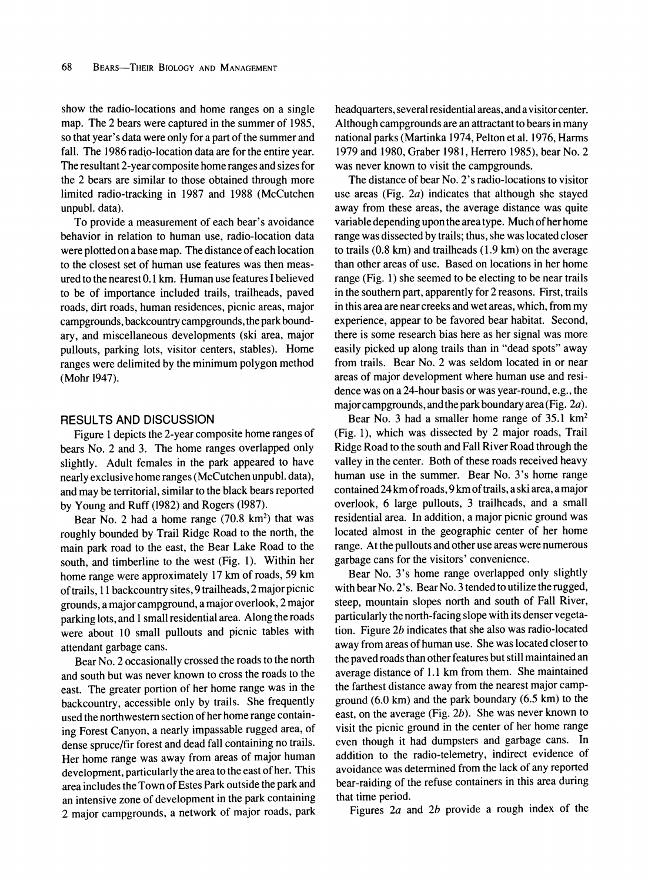**show the radio-locations and home ranges on a single map. The 2 bears were captured in the summer of 1985, so that year's data were only for a part of the summer and fall. The 1986 radio-location data are for the entire year. The resultant 2-year composite home ranges and sizes for the 2 bears are similar to those obtained through more limited radio-tracking in 1987 and 1988 (McCutchen unpubl. data).** 

**To provide a measurement of each bear's avoidance behavior in relation to human use, radio-location data were plotted on a base map. The distance of each location to the closest set of human use features was then measured to the nearest 0.1 km. Human use features I believed to be of importance included trails, trailheads, paved roads, dirt roads, human residences, picnic areas, major campgrounds, backcountry campgrounds, the park boundary, and miscellaneous developments (ski area, major pullouts, parking lots, visitor centers, stables). Home ranges were delimited by the minimum polygon method (Mohr 1947).** 

## **RESULTS AND DISCUSSION**

**Figure 1 depicts the 2-year composite home ranges of bears No. 2 and 3. The home ranges overlapped only slightly. Adult females in the park appeared to have nearly exclusive home ranges (McCutchen unpubl. data), and may be territorial, similar to the black bears reported by Young and Ruff (1982) and Rogers (1987).** 

Bear No. 2 had a home range (70.8 km<sup>2</sup>) that was **roughly bounded by Trail Ridge Road to the north, the main park road to the east, the Bear Lake Road to the south, and timberline to the west (Fig. 1). Within her home range were approximately 17 km of roads, 59 km of trails, 11 backcountry sites, 9 trailheads, 2 major picnic grounds, a major campground, a major overlook, 2 major parking lots, and 1 small residential area. Along the roads were about 10 small pullouts and picnic tables with attendant garbage cans.** 

**Bear No. 2 occasionally crossed the roads to the north and south but was never known to cross the roads to the east. The greater portion of her home range was in the backcountry, accessible only by trails. She frequently used the northwestern section of her home range containing Forest Canyon, a nearly impassable rugged area, of dense spruce/fir forest and dead fall containing no trails. Her home range was away from areas of major human development, particularly the area to the east of her. This area includes the Town of Estes Park outside the park and an intensive zone of development in the park containing 2 major campgrounds, a network of major roads, park** 

**headquarters, several residential areas, and a visitor center. Although campgrounds are an attractant to bears in many national parks (Martinka 1974, Pelton et al. 1976, Harms 1979 and 1980, Graber 1981, Herrero 1985), bear No. 2 was never known to visit the campgrounds.** 

**The distance of bear No. 2's radio-locations to visitor use areas (Fig. 2a) indicates that although she stayed away from these areas, the average distance was quite variable depending upon the area type. Much of her home range was dissected by trails; thus, she was located closer to trails (0.8 km) and trailheads (1.9 km) on the average than other areas of use. Based on locations in her home range (Fig. 1) she seemed to be electing to be near trails in the southern part, apparently for 2 reasons. First, trails in this area are near creeks and wet areas, which, from my experience, appear to be favored bear habitat. Second, there is some research bias here as her signal was more easily picked up along trails than in "dead spots" away from trails. Bear No. 2 was seldom located in or near areas of major development where human use and residence was on a 24-hour basis or was year-round, e.g., the major campgrounds, and the park boundary area (Fig. 2a).** 

**Bear No. 3 had a smaller home range of 35.1 km2 (Fig. 1), which was dissected by 2 major roads, Trail Ridge Road to the south and Fall River Road through the valley in the center. Both of these roads received heavy human use in the summer. Bear No. 3's home range contained 24 km of roads, 9 km of trails, a ski area, a major overlook, 6 large pullouts, 3 trailheads, and a small residential area. In addition, a major picnic ground was located almost in the geographic center of her home range. At the pullouts and other use areas were numerous garbage cans for the visitors' convenience.** 

**Bear No. 3's home range overlapped only slightly with bear No. 2's. Bear No. 3 tended to utilize the rugged, steep, mountain slopes north and south of Fall River, particularly the north-facing slope with its denser vegetation. Figure 2b indicates that she also was radio-located away from areas of human use. She was located closer to the paved roads than other features but still maintained an average distance of 1.1 km from them. She maintained the farthest distance away from the nearest major campground (6.0 km) and the park boundary (6.5 km) to the east, on the average (Fig. 2b). She was never known to visit the picnic ground in the center of her home range even though it had dumpsters and garbage cans. In addition to the radio-telemetry, indirect evidence of avoidance was determined from the lack of any reported bear-raiding of the refuse containers in this area during that time period.** 

**Figures 2a and 2b provide a rough index of the**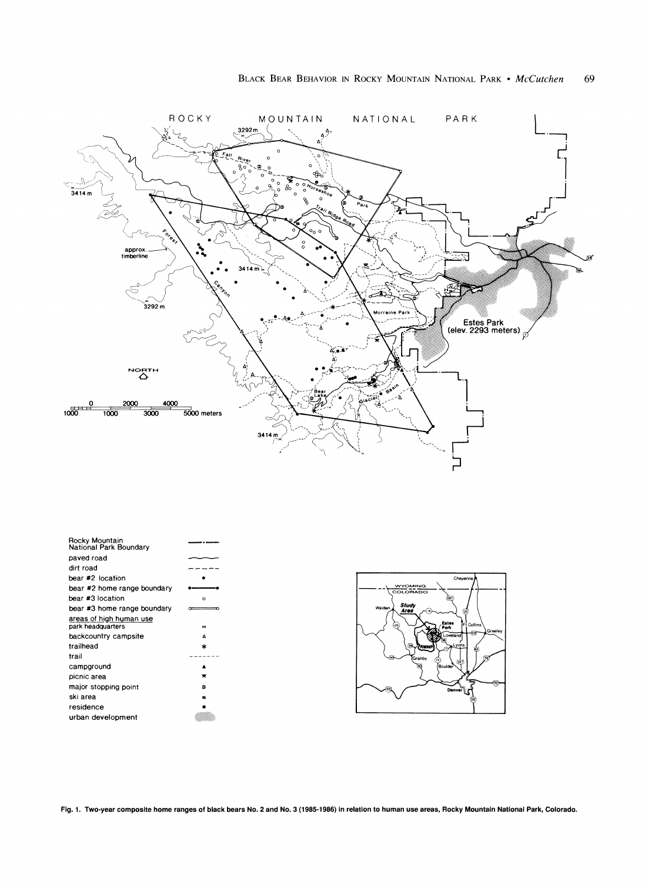

| Rocky Mountain<br>National Park Boundary |          |
|------------------------------------------|----------|
| paved road                               |          |
| dirt road                                |          |
| bear #2 location                         |          |
| bear #2 home range boundary              |          |
| bear #3 location                         | $\Omega$ |
| bear #3 home range boundary              |          |
| areas of high human use                  |          |
| park headquarters                        | н        |
| backcountry campsite                     | ٨        |
| trailhead                                | *        |
| trail                                    |          |
| campground                               |          |
| picnic area                              | ×        |
| major stopping point                     | ω        |
| ski area                                 | e        |
| residence                                |          |
| urban development                        |          |



**Fig. 1. Two-year composite home ranges of black bears No. 2 and No. 3 (1985-1986) in relation to human use areas, Rocky Mountain National Park, Colorado.**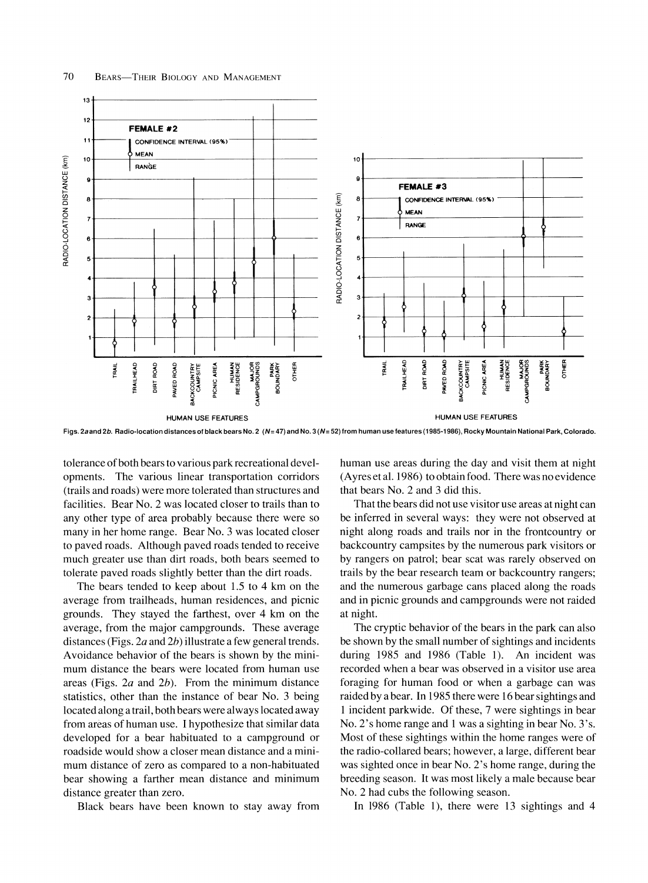

**Figs. 2aand 2b. Radio-location distances of black bears No. 2 (N= 47) and No. 3 (N= 52) from human use features (1985-1986), Rocky Mountain National Park, Colorado.** 

**tolerance of both bears to various park recreational developments. The various linear transportation corridors (trails and roads) were more tolerated than structures and facilities. Bear No. 2 was located closer to trails than to any other type of area probably because there were so many in her home range. Bear No. 3 was located closer to paved roads. Although paved roads tended to receive much greater use than dirt roads, both bears seemed to tolerate paved roads slightly better than the dirt roads.** 

**The bears tended to keep about 1.5 to 4 km on the average from trailheads, human residences, and picnic grounds. They stayed the farthest, over 4 km on the average, from the major campgrounds. These average distances (Figs. 2a and 2b) illustrate a few general trends. Avoidance behavior of the bears is shown by the minimum distance the bears were located from human use areas (Figs. 2a and 2b). From the minimum distance statistics, other than the instance of bear No. 3 being located along a trail, both bears were always located away from areas of human use. I hypothesize that similar data developed for a bear habituated to a campground or roadside would show a closer mean distance and a minimum distance of zero as compared to a non-habituated bear showing a farther mean distance and minimum distance greater than zero.** 

**Black bears have been known to stay away from** 

**human use areas during the day and visit them at night (Ayres et al. 1986) to obtain food. There was no evidence that bears No. 2 and 3 did this.** 

**That the bears did not use visitor use areas at night can be inferred in several ways: they were not observed at night along roads and trails nor in the frontcountry or backcountry campsites by the numerous park visitors or by rangers on patrol; bear scat was rarely observed on trails by the bear research team or backcountry rangers; and the numerous garbage cans placed along the roads and in picnic grounds and campgrounds were not raided at night.** 

**The cryptic behavior of the bears in the park can also be shown by the small number of sightings and incidents during 1985 and 1986 (Table 1). An incident was recorded when a bear was observed in a visitor use area foraging for human food or when a garbage can was raided by a bear. In 1985 there were 16 bear sightings and 1 incident parkwide. Of these, 7 were sightings in bear No. 2's home range and 1 was a sighting in bear No. 3's. Most of these sightings within the home ranges were of the radio-collared bears; however, a large, different bear was sighted once in bear No. 2's home range, during the breeding season. It was most likely a male because bear No. 2 had cubs the following season.** 

**In 1986 (Table 1), there were 13 sightings and 4**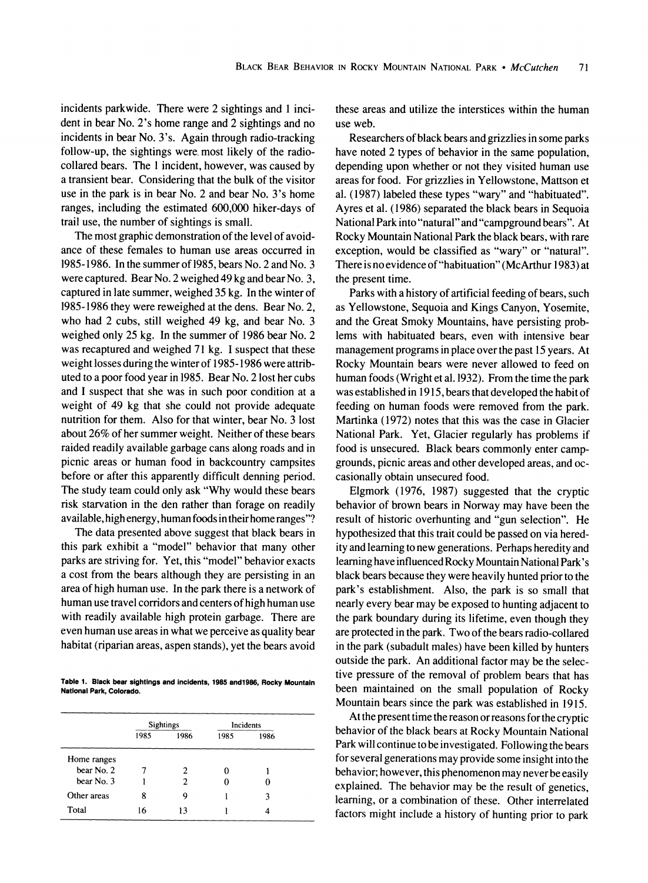**incidents parkwide. There were 2 sightings and 1 incident in bear No. 2's home range and 2 sightings and no incidents in bear No. 3's. Again through radio-tracking follow-up, the sightings were. most likely of the radiocollared bears. The 1 incident, however, was caused by a transient bear. Considering that the bulk of the visitor use in the park is in bear No. 2 and bear No. 3's home ranges, including the estimated 600,000 hiker-days of trail use, the number of sightings is small.** 

**The most graphic demonstration of the level of avoidance of these females to human use areas occurred in 1985-1986. In the summer of 1985, bears No. 2 and No. 3 were captured. Bear No. 2 weighed 49 kg and bear No. 3, captured in late summer, weighed 35 kg. In the winter of 1985-1986 they were reweighed at the dens. Bear No. 2, who had 2 cubs, still weighed 49 kg, and bear No. 3 weighed only 25 kg. In the summer of 1986 bear No. 2 was recaptured and weighed 71 kg. I suspect that these weight losses during the winter of 1985-1986 were attributed to a poor food year in 1985. Bear No. 2 lost her cubs and I suspect that she was in such poor condition at a weight of 49 kg that she could not provide adequate nutrition for them. Also for that winter, bear No. 3 lost about 26% of her summer weight. Neither of these bears raided readily available garbage cans along roads and in picnic areas or human food in backcountry campsites before or after this apparently difficult denning period. The study team could only ask "Why would these bears risk starvation in the den rather than forage on readily available, high energy, human foods in their home ranges"?** 

**The data presented above suggest that black bears in this park exhibit a "model" behavior that many other parks are striving for. Yet, this "model" behavior exacts a cost from the bears although they are persisting in an area of high human use. In the park there is a network of human use travel corridors and centers of high human use with readily available high protein garbage. There are even human use areas in what we perceive as quality bear habitat (riparian areas, aspen stands), yet the bears avoid** 

**Table 1. Black bear sightings and incidents, 1985 and1986, Rocky Mountain National Park, Colorado.** 

|             | <b>Sightings</b> |      | Incidents |      |
|-------------|------------------|------|-----------|------|
|             | 1985             | 1986 | 1985      | 1986 |
| Home ranges |                  |      |           |      |
| bear No. 2  |                  | 2    |           |      |
| bear No. 3  |                  | 2    |           |      |
| Other areas | 8                | 9    |           | ٦    |
| Total       | 16               | 13   |           |      |

**these areas and utilize the interstices within the human use web.** 

**Researchers of black bears and grizzlies in some parks have noted 2 types of behavior in the same population, depending upon whether or not they visited human use areas for food. For grizzlies in Yellowstone, Mattson et al. (1987) labeled these types "wary" and "habituated". Ayres et al. (1986) separated the black bears in Sequoia National Park into "natural" and "campground bears". At Rocky Mountain National Park the black bears, with rare exception, would be classified as "wary" or "natural". There is no evidence of"habituation" (McArthur 1983) at the present time.** 

**Parks with a history of artificial feeding of bears, such as Yellowstone, Sequoia and Kings Canyon, Yosemite, and the Great Smoky Mountains, have persisting problems with habituated bears, even with intensive bear management programs in place over the past 15 years. At Rocky Mountain bears were never allowed to feed on human foods (Wright et al. 1932). From the time the park was established in 1915, bears that developed the habit of feeding on human foods were removed from the park. Martinka (1972) notes that this was the case in Glacier National Park. Yet, Glacier regularly has problems if food is unsecured. Black bears commonly enter campgrounds, picnic areas and other developed areas, and occasionally obtain unsecured food.** 

**Elgmork (1976, 1987) suggested that the cryptic behavior of brown bears in Norway may have been the result of historic overhunting and "gun selection". He hypothesized that this trait could be passed on via heredity and learning to new generations. Perhaps heredity and learning have influenced Rocky Mountain National Park's black bears because they were heavily hunted prior to the park's establishment. Also, the park is so small that nearly every bear may be exposed to hunting adjacent to the park boundary during its lifetime, even though they are protected in the park. Two of the bears radio-collared in the park (subadult males) have been killed by hunters outside the park. An additional factor may be the selective pressure of the removal of problem bears that has been maintained on the small population of Rocky Mountain bears since the park was established in 1915.** 

**At the present time the reason or reasons for the cryptic behavior of the black bears at Rocky Mountain National Park will continue to be investigated. Following the bears for several generations may provide some insight into the behavior; however, this phenomenon may never be easily explained. The behavior may be the result of genetics, learning, or a combination of these. Other interrelated factors might include a history of hunting prior to park**